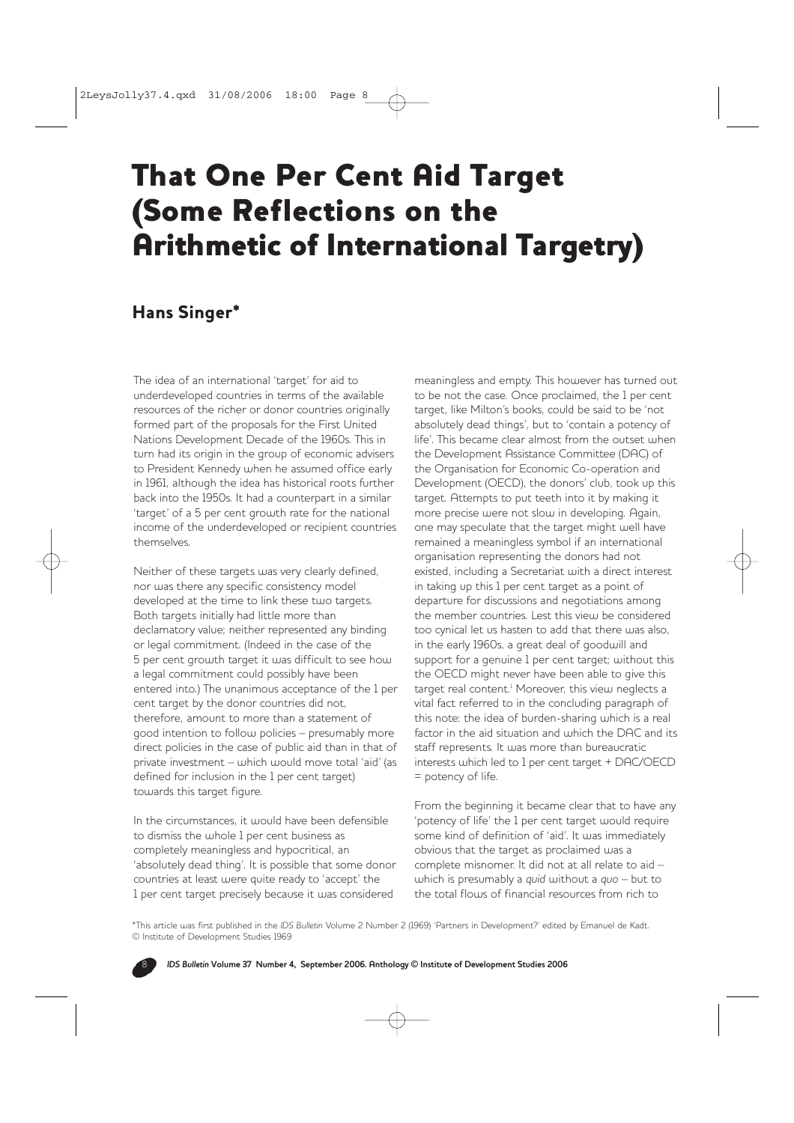## That One Per Cent Aid Target (Some Reflections on the Arithmetic of International Targetry)

## Hans Singer\*

The idea of an international 'target' for aid to underdeveloped countries in terms of the available resources of the richer or donor countries originally formed part of the proposals for the First United Nations Development Decade of the 1960s. This in turn had its origin in the group of economic advisers to President Kennedy when he assumed office early in 1961, although the idea has historical roots further back into the 1950s. It had a counterpart in a similar 'target' of a 5 per cent growth rate for the national income of the underdeveloped or recipient countries themselves.

Neither of these targets was very clearly defined, nor was there any specific consistency model developed at the time to link these two targets. Both targets initially had little more than declamatory value; neither represented any binding or legal commitment. (Indeed in the case of the 5 per cent growth target it was difficult to see how a legal commitment could possibly have been entered into.) The unanimous acceptance of the 1 per cent target by the donor countries did not, therefore, amount to more than a statement of good intention to follow policies – presumably more direct policies in the case of public aid than in that of private investment – which would move total 'aid' (as defined for inclusion in the 1 per cent target) towards this target figure.

In the circumstances, it would have been defensible to dismiss the whole 1 per cent business as completely meaningless and hypocritical, an 'absolutely dead thing'. It is possible that some donor countries at least were quite ready to 'accept' the 1 per cent target precisely because it was considered

meaningless and empty. This however has turned out to be not the case. Once proclaimed, the 1 per cent target, like Milton's books, could be said to be 'not absolutely dead things', but to 'contain a potency of life'. This became clear almost from the outset when the Development Assistance Committee (DAC) of the Organisation for Economic Co-operation and Development (OECD), the donors' club, took up this target. Attempts to put teeth into it by making it more precise were not slow in developing. Again, one may speculate that the target might well have remained a meaningless symbol if an international organisation representing the donors had not existed, including a Secretariat with a direct interest in taking up this 1 per cent target as a point of departure for discussions and negotiations among the member countries. Lest this view be considered too cynical let us hasten to add that there was also, in the early 1960s, a great deal of goodwill and support for a genuine 1 per cent target; without this the OECD might never have been able to give this target real content.<sup>1</sup> Moreover, this view neglects a vital fact referred to in the concluding paragraph of this note: the idea of burden-sharing which is a real factor in the aid situation and which the DAC and its staff represents. It was more than bureaucratic interests which led to 1 per cent target + DAC/OECD = potency of life.

From the beginning it became clear that to have any 'potency of life' the 1 per cent target would require some kind of definition of 'aid'. It was immediately obvious that the target as proclaimed was a complete misnomer. It did not at all relate to aid – which is presumably a *quid* without a *quo* – but to the total flows of financial resources from rich to

\*This article was first published in the *IDS Bulletin* Volume 2 Number 2 (1969) 'Partners in Development?' edited by Emanuel de Kadt. © Institute of Development Studies 1969

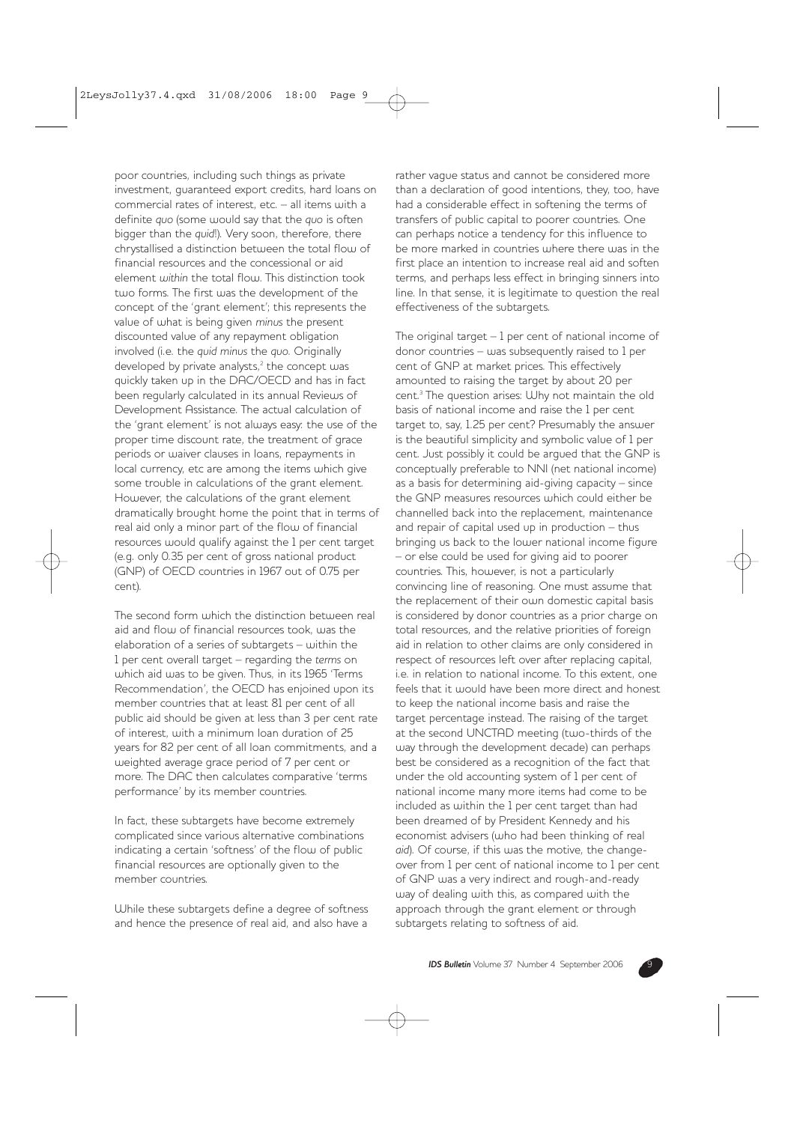poor countries, including such things as private investment, guaranteed export credits, hard loans on commercial rates of interest, etc. – all items with a definite *quo* (some would say that the *quo* is often bigger than the *quid*!). Very soon, therefore, there chrystallised a distinction between the total flow of financial resources and the concessional or aid element *within* the total flow. This distinction took two forms. The first was the development of the concept of the 'grant element'; this represents the value of what is being given *minus* the present discounted value of any repayment obligation involved (i.e. the *quid minus* the *quo*. Originally developed by private analysts, $2$  the concept was quickly taken up in the DAC/OECD and has in fact been regularly calculated in its annual Reviews of Development Assistance. The actual calculation of the 'grant element' is not always easy: the use of the proper time discount rate, the treatment of grace periods or waiver clauses in loans, repayments in local currency, etc are among the items which give some trouble in calculations of the grant element. However, the calculations of the grant element dramatically brought home the point that in terms of real aid only a minor part of the flow of financial resources would qualify against the 1 per cent target (e.g. only 0.35 per cent of gross national product (GNP) of OECD countries in 1967 out of 0.75 per cent).

The second form which the distinction between real aid and flow of financial resources took, was the elaboration of a series of subtargets – within the 1 per cent overall target – regarding the *terms* on which aid was to be given. Thus, in its 1965 'Terms Recommendation', the OECD has enjoined upon its member countries that at least 81 per cent of all public aid should be given at less than 3 per cent rate of interest, with a minimum loan duration of 25 years for 82 per cent of all loan commitments, and a weighted average grace period of 7 per cent or more. The DAC then calculates comparative 'terms performance' by its member countries.

In fact, these subtargets have become extremely complicated since various alternative combinations indicating a certain 'softness' of the flow of public financial resources are optionally given to the member countries.

While these subtargets define a degree of softness and hence the presence of real aid, and also have a

rather vague status and cannot be considered more than a declaration of good intentions, they, too, have had a considerable effect in softening the terms of transfers of public capital to poorer countries. One can perhaps notice a tendency for this influence to be more marked in countries where there was in the first place an intention to increase real aid and soften terms, and perhaps less effect in bringing sinners into line. In that sense, it is legitimate to question the real effectiveness of the subtargets.

The original target  $-1$  per cent of national income of donor countries – was subsequently raised to 1 per cent of GNP at market prices. This effectively amounted to raising the target by about 20 per cent.3 The question arises: Why not maintain the old basis of national income and raise the 1 per cent target to, say, 1.25 per cent? Presumably the answer is the beautiful simplicity and symbolic value of 1 per cent. Just possibly it could be argued that the GNP is conceptually preferable to NNI (net national income) as a basis for determining aid-giving capacity – since the GNP measures resources which could either be channelled back into the replacement, maintenance and repair of capital used up in production – thus bringing us back to the lower national income figure – or else could be used for giving aid to poorer countries. This, however, is not a particularly convincing line of reasoning. One must assume that the replacement of their own domestic capital basis is considered by donor countries as a prior charge on total resources, and the relative priorities of foreign aid in relation to other claims are only considered in respect of resources left over after replacing capital, i.e. in relation to national income. To this extent, one feels that it would have been more direct and honest to keep the national income basis and raise the target percentage instead. The raising of the target at the second UNCTAD meeting (two-thirds of the way through the development decade) can perhaps best be considered as a recognition of the fact that under the old accounting system of 1 per cent of national income many more items had come to be included as within the 1 per cent target than had been dreamed of by President Kennedy and his economist advisers (who had been thinking of real *aid*). Of course, if this was the motive, the changeover from 1 per cent of national income to 1 per cent of GNP was a very indirect and rough-and-ready way of dealing with this, as compared with the approach through the grant element or through subtargets relating to softness of aid.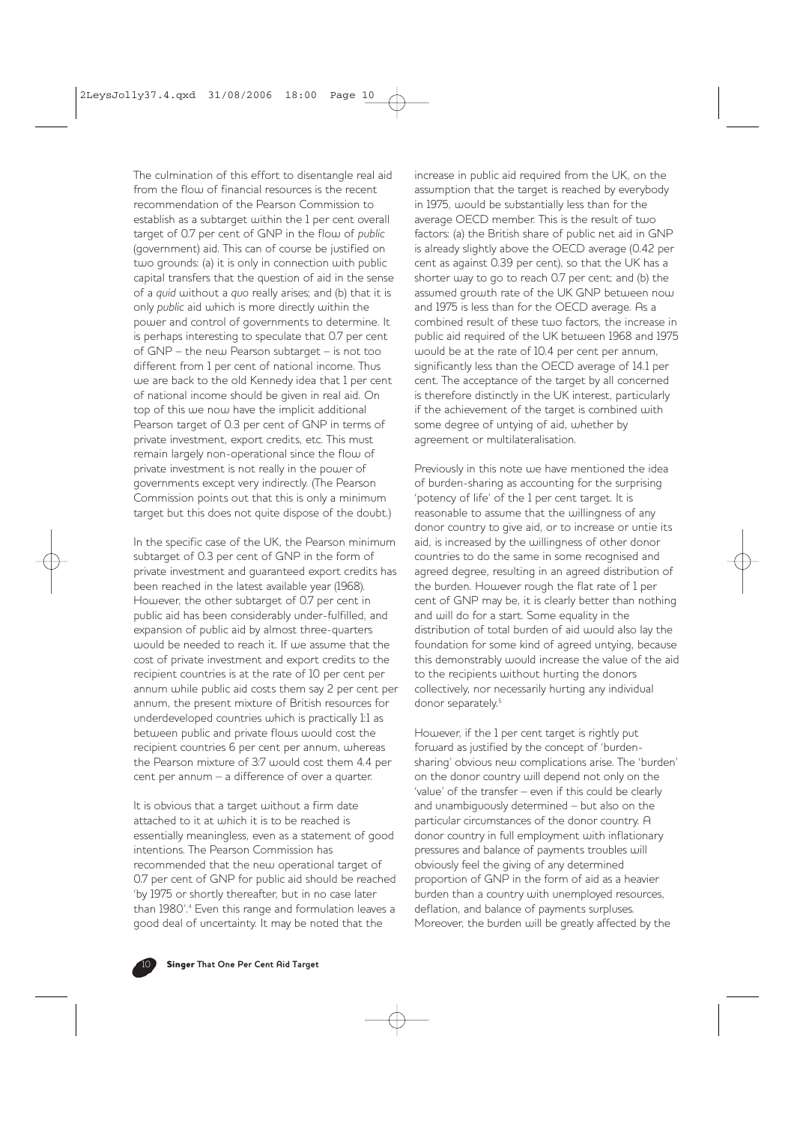The culmination of this effort to disentangle real aid from the flow of financial resources is the recent recommendation of the Pearson Commission to establish as a subtarget within the 1 per cent overall target of 0.7 per cent of GNP in the flow of *public* (government) aid. This can of course be justified on two grounds: (a) it is only in connection with public capital transfers that the question of aid in the sense of a *quid* without a *quo* really arises; and (b) that it is only *public* aid which is more directly within the power and control of governments to determine. It is perhaps interesting to speculate that 0.7 per cent of GNP – the new Pearson subtarget – is not too different from 1 per cent of national income. Thus we are back to the old Kennedy idea that 1 per cent of national income should be given in real aid. On top of this we now have the implicit additional Pearson target of 0.3 per cent of GNP in terms of private investment, export credits, etc. This must remain largely non-operational since the flow of private investment is not really in the power of governments except very indirectly. (The Pearson Commission points out that this is only a minimum target but this does not quite dispose of the doubt.)

In the specific case of the UK, the Pearson minimum subtarget of 0.3 per cent of GNP in the form of private investment and guaranteed export credits has been reached in the latest available year (1968). However, the other subtarget of 0.7 per cent in public aid has been considerably under-fulfilled, and expansion of public aid by almost three-quarters would be needed to reach it. If we assume that the cost of private investment and export credits to the recipient countries is at the rate of 10 per cent per annum while public aid costs them say 2 per cent per annum, the present mixture of British resources for underdeveloped countries which is practically 1:1 as between public and private flows would cost the recipient countries 6 per cent per annum, whereas the Pearson mixture of 3:7 would cost them 4.4 per cent per annum – a difference of over a quarter.

It is obvious that a target without a firm date attached to it at which it is to be reached is essentially meaningless, even as a statement of good intentions. The Pearson Commission has recommended that the new operational target of 0.7 per cent of GNP for public aid should be reached 'by 1975 or shortly thereafter, but in no case later than 1980'.4 Even this range and formulation leaves a good deal of uncertainty. It may be noted that the

increase in public aid required from the UK, on the assumption that the target is reached by everybody in 1975, would be substantially less than for the average OECD member. This is the result of two factors: (a) the British share of public net aid in GNP is already slightly above the OECD average (0.42 per cent as against 0.39 per cent), so that the UK has a shorter way to go to reach 0.7 per cent; and (b) the assumed growth rate of the UK GNP between now and 1975 is less than for the OECD average. As a combined result of these two factors, the increase in public aid required of the UK between 1968 and 1975 would be at the rate of 10.4 per cent per annum, significantly less than the OECD average of 14.1 per cent. The acceptance of the target by all concerned is therefore distinctly in the UK interest, particularly if the achievement of the target is combined with some degree of untying of aid, whether by agreement or multilateralisation.

Previously in this note we have mentioned the idea of burden-sharing as accounting for the surprising 'potency of life' of the 1 per cent target. It is reasonable to assume that the willingness of any donor country to give aid, or to increase or untie its aid, is increased by the willingness of other donor countries to do the same in some recognised and agreed degree, resulting in an agreed distribution of the burden. However rough the flat rate of 1 per cent of GNP may be, it is clearly better than nothing and will do for a start. Some equality in the distribution of total burden of aid would also lay the foundation for some kind of agreed untying, because this demonstrably would increase the value of the aid to the recipients without hurting the donors collectively, nor necessarily hurting any individual donor separately.<sup>5</sup>

However, if the 1 per cent target is rightly put forward as justified by the concept of 'burdensharing' obvious new complications arise. The 'burden' on the donor country will depend not only on the 'value' of the transfer – even if this could be clearly and unambiguously determined – but also on the particular circumstances of the donor country. A donor country in full employment with inflationary pressures and balance of payments troubles will obviously feel the giving of any determined proportion of GNP in the form of aid as a heavier burden than a country with unemployed resources, deflation, and balance of payments surpluses. Moreover, the burden will be greatly affected by the